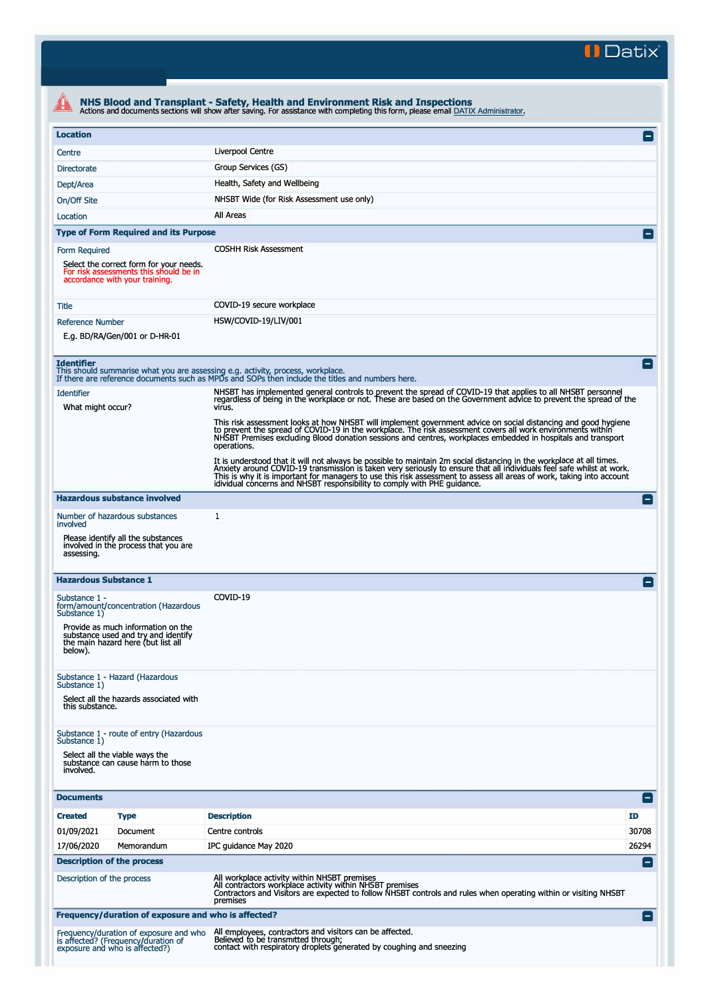**II Datix"** 

| <b>Location</b>                                                                                                                             |                                                                                                                                                                                                                                                                                                                                                                                                                                                    | E                        |
|---------------------------------------------------------------------------------------------------------------------------------------------|----------------------------------------------------------------------------------------------------------------------------------------------------------------------------------------------------------------------------------------------------------------------------------------------------------------------------------------------------------------------------------------------------------------------------------------------------|--------------------------|
| Centre                                                                                                                                      | Liverpool Centre                                                                                                                                                                                                                                                                                                                                                                                                                                   |                          |
| <b>Directorate</b>                                                                                                                          | Group Services (GS)                                                                                                                                                                                                                                                                                                                                                                                                                                |                          |
| Dept/Area                                                                                                                                   | Health, Safety and Wellbeing                                                                                                                                                                                                                                                                                                                                                                                                                       |                          |
| On/Off Site                                                                                                                                 | NHSBT Wide (for Risk Assessment use only)                                                                                                                                                                                                                                                                                                                                                                                                          |                          |
| Location                                                                                                                                    | All Areas                                                                                                                                                                                                                                                                                                                                                                                                                                          |                          |
| <b>Type of Form Required and its Purpose</b>                                                                                                |                                                                                                                                                                                                                                                                                                                                                                                                                                                    |                          |
|                                                                                                                                             |                                                                                                                                                                                                                                                                                                                                                                                                                                                    |                          |
| Form Required<br>Select the correct form for your needs.<br>For risk assessments this should be in<br>accordance with your training.        | <b>COSHH Risk Assessment</b>                                                                                                                                                                                                                                                                                                                                                                                                                       |                          |
| <b>Title</b>                                                                                                                                | COVID-19 secure workplace                                                                                                                                                                                                                                                                                                                                                                                                                          |                          |
| <b>Reference Number</b>                                                                                                                     | HSW/COVID-19/LIV/001                                                                                                                                                                                                                                                                                                                                                                                                                               |                          |
| E.g. BD/RA/Gen/001 or D-HR-01                                                                                                               |                                                                                                                                                                                                                                                                                                                                                                                                                                                    |                          |
| <b>Identifier</b>                                                                                                                           | This should summarise what you are assessing e.g. activity, process, workplace.<br>If there are reference documents such as MPDs and SOPs then include the titles and numbers here.                                                                                                                                                                                                                                                                |                          |
| <b>Identifier</b><br>What might occur?                                                                                                      | NHSBT has implemented general controls to prevent the spread of COVID-19 that applies to all NHSBT personnel<br>regardless of being in the workplace or not. These are based on the Government advice to prevent the spread of the<br>virus.                                                                                                                                                                                                       |                          |
|                                                                                                                                             | This risk assessment looks at how NHSBT will implement government advice on social distancing and good hygiene<br>to prevent the spread of COVID-19 in the workplace. The risk assessment covers all work environments within<br>NHSBT Premises excluding Blood donation sessions and centres, workplaces embedded in hospitals and transport<br>operations.                                                                                       |                          |
|                                                                                                                                             | It is understood that it will not always be possible to maintain 2m social distancing in the workplace at all times.<br>Anxiety around COVID-19 transmission is taken very seriously to ensure that all individuals feel safe whilst at work.<br>This is why it is important for managers to use this risk assessment to assess all areas of work, taking into account<br>idividual concerns and NHSBT responsibility to comply with PHE guidance. |                          |
| <b>Hazardous substance involved</b>                                                                                                         |                                                                                                                                                                                                                                                                                                                                                                                                                                                    | ۸                        |
| Number of hazardous substances<br>involved                                                                                                  | 1                                                                                                                                                                                                                                                                                                                                                                                                                                                  |                          |
| Please identify all the substances<br>involved in the process that you are<br>assessing.                                                    |                                                                                                                                                                                                                                                                                                                                                                                                                                                    |                          |
| <b>Hazardous Substance 1</b>                                                                                                                |                                                                                                                                                                                                                                                                                                                                                                                                                                                    | $\overline{\phantom{0}}$ |
| Substance 1 -<br>form/amount/concentration (Hazardous<br>Substance 1)                                                                       | COVID-19                                                                                                                                                                                                                                                                                                                                                                                                                                           |                          |
| Provide as much information on the<br>substance used and try and identify<br>the main hazard here (but list all<br>below).                  |                                                                                                                                                                                                                                                                                                                                                                                                                                                    |                          |
| Substance 1 - Hazard (Hazardous<br>Substance 1)<br>Select all the hazards associated with<br>this substance.                                |                                                                                                                                                                                                                                                                                                                                                                                                                                                    |                          |
| Substance 1 - route of entry (Hazardous<br>Substance 1)<br>Select all the viable ways the<br>substance can cause harm to those<br>involved. |                                                                                                                                                                                                                                                                                                                                                                                                                                                    |                          |
| <b>Documents</b>                                                                                                                            |                                                                                                                                                                                                                                                                                                                                                                                                                                                    |                          |
|                                                                                                                                             |                                                                                                                                                                                                                                                                                                                                                                                                                                                    | E                        |
| <b>Created</b><br><b>Type</b>                                                                                                               | <b>Description</b>                                                                                                                                                                                                                                                                                                                                                                                                                                 | ID                       |
| 01/09/2021<br>Document                                                                                                                      | Centre controls                                                                                                                                                                                                                                                                                                                                                                                                                                    | 30708                    |
| 17/06/2020<br>Memorandum                                                                                                                    | IPC guidance May 2020                                                                                                                                                                                                                                                                                                                                                                                                                              | 26294<br>E               |
| <b>Description of the process</b><br>Description of the process                                                                             | All workplace activity within NHSBT premises<br>All contractors workplace activity within NHSBT premises<br>Contractors and Visitors are expected to follow NHSBT controls and rules when operating within or visiting NHSBT<br>premises                                                                                                                                                                                                           |                          |
| Frequency/duration of exposure and who is affected?                                                                                         |                                                                                                                                                                                                                                                                                                                                                                                                                                                    |                          |
|                                                                                                                                             |                                                                                                                                                                                                                                                                                                                                                                                                                                                    |                          |